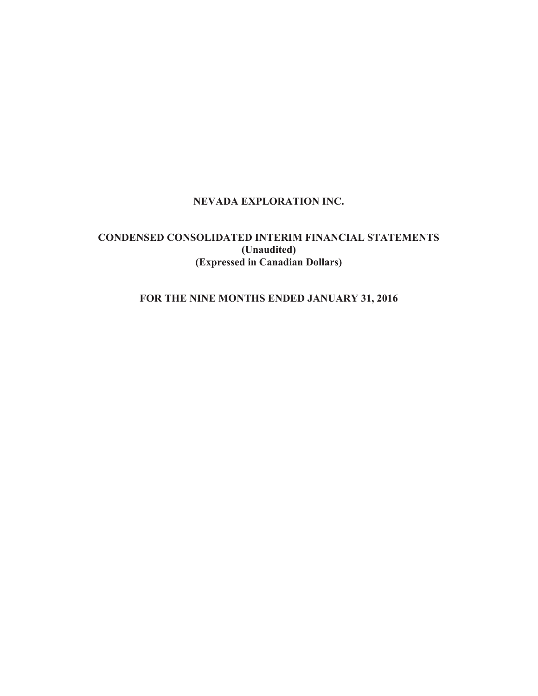# **NEVADA EXPLORATION INC.**

# **CONDENSED CONSOLIDATED INTERIM FINANCIAL STATEMENTS (Unaudited) (Expressed in Canadian Dollars)**

# **FOR THE NINE MONTHS ENDED JANUARY 31, 2016**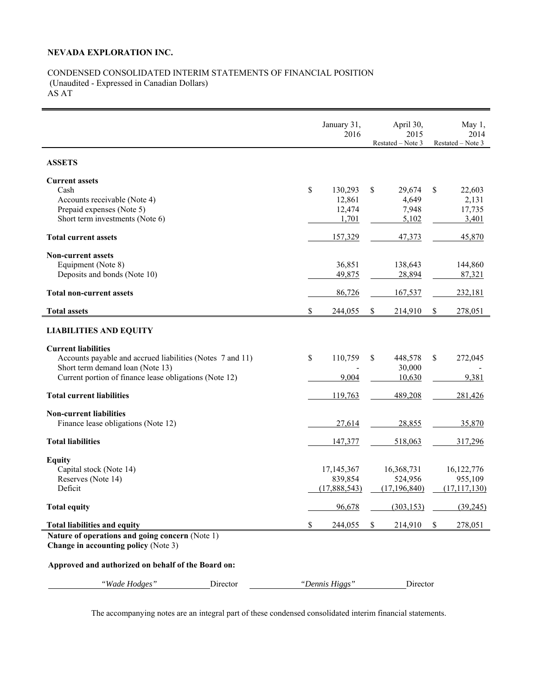# **NEVADA EXPLORATION INC.**

# CONDENSED CONSOLIDATED INTERIM STATEMENTS OF FINANCIAL POSITION (Unaudited - Expressed in Canadian Dollars) AS AT

|                                                           | January 31,<br>2016 |                       | April 30,<br>2015     | May 1,<br>2014          |
|-----------------------------------------------------------|---------------------|-----------------------|-----------------------|-------------------------|
|                                                           |                     |                       | Restated - Note 3     | Restated – Note 3       |
| <b>ASSETS</b>                                             |                     |                       |                       |                         |
| <b>Current assets</b>                                     |                     |                       |                       |                         |
| Cash                                                      | \$                  | 130,293               | \$<br>29,674          | \$<br>22,603            |
| Accounts receivable (Note 4)                              |                     | 12,861                | 4,649                 | 2,131                   |
| Prepaid expenses (Note 5)                                 |                     | 12,474                | 7,948                 | 17,735                  |
| Short term investments (Note 6)                           |                     | 1,701                 | 5,102                 | 3,401                   |
| <b>Total current assets</b>                               |                     | 157,329               | 47,373                | 45,870                  |
| <b>Non-current assets</b>                                 |                     |                       |                       |                         |
| Equipment (Note 8)                                        |                     | 36,851                | 138,643               | 144,860                 |
| Deposits and bonds (Note 10)                              |                     | 49,875                | 28,894                | 87,321                  |
| <b>Total non-current assets</b>                           |                     | 86,726                | 167,537               | 232,181                 |
| <b>Total assets</b>                                       | \$                  | 244,055               | \$<br>214,910         | \$<br>278,051           |
| <b>LIABILITIES AND EQUITY</b>                             |                     |                       |                       |                         |
|                                                           |                     |                       |                       |                         |
| <b>Current liabilities</b>                                |                     |                       |                       |                         |
| Accounts payable and accrued liabilities (Notes 7 and 11) | \$                  | 110,759               | \$<br>448,578         | \$<br>272,045           |
| Short term demand loan (Note 13)                          |                     |                       | 30,000                |                         |
| Current portion of finance lease obligations (Note 12)    |                     | 9,004                 | 10,630                | 9,381                   |
| <b>Total current liabilities</b>                          |                     | 119,763               | 489,208               | 281,426                 |
| <b>Non-current liabilities</b>                            |                     |                       |                       |                         |
| Finance lease obligations (Note 12)                       |                     | 27,614                | 28,855                | 35,870                  |
| <b>Total liabilities</b>                                  |                     | 147,377               | 518,063               | 317,296                 |
|                                                           |                     |                       |                       |                         |
| <b>Equity</b>                                             |                     |                       |                       |                         |
| Capital stock (Note 14)<br>Reserves (Note 14)             |                     | 17,145,367<br>839,854 | 16,368,731<br>524,956 | 16, 122, 776<br>955,109 |
| Deficit                                                   |                     | (17,888,543)          | (17, 196, 840)        | (17, 117, 130)          |
|                                                           |                     |                       |                       |                         |
| <b>Total equity</b>                                       |                     | 96,678                | (303, 153)            | (39, 245)               |
| <b>Total liabilities and equity</b>                       | \$                  | 244,055               | \$<br>214,910         | \$<br>278,051           |
| Nature of operations and going concern (Note 1)           |                     |                       |                       |                         |
| <b>Change in accounting policy (Note 3)</b>               |                     |                       |                       |                         |
| Approved and authorized on behalf of the Board on:        |                     |                       |                       |                         |
|                                                           |                     |                       |                       |                         |
| Director<br>"Wade Hodges"                                 |                     | "Dennis Higgs"        | Director              |                         |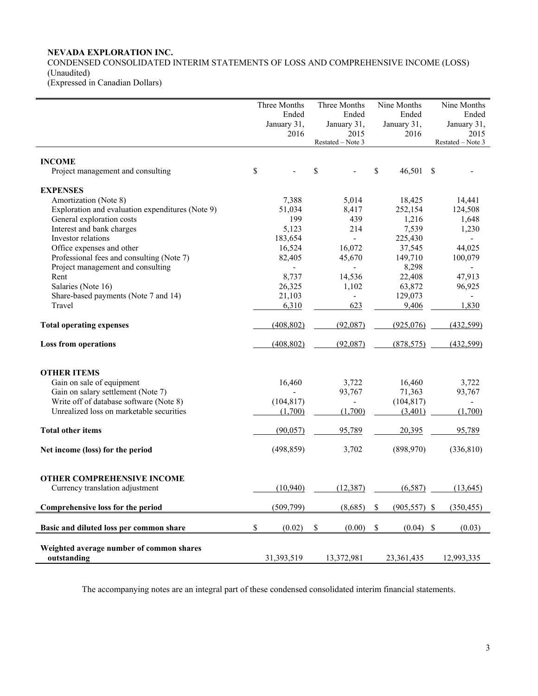# **NEVADA EXPLORATION INC.**

CONDENSED CONSOLIDATED INTERIM STATEMENTS OF LOSS AND COMPREHENSIVE INCOME (LOSS) (Unaudited) (Expressed in Canadian Dollars)

|                                                         | Three Months<br>Ended<br>January 31,<br>2016 |    | Three Months<br>Ended<br>January 31,<br>2015<br>Restated - Note 3 |    | Nine Months<br>Ended<br>January 31,<br>2016 | Nine Months<br>Ended<br>January 31,<br>2015<br>Restated - Note 3 |
|---------------------------------------------------------|----------------------------------------------|----|-------------------------------------------------------------------|----|---------------------------------------------|------------------------------------------------------------------|
|                                                         |                                              |    |                                                                   |    |                                             |                                                                  |
| <b>INCOME</b><br>Project management and consulting      | \$                                           | \$ |                                                                   | \$ | 46,501                                      | \$                                                               |
| <b>EXPENSES</b>                                         |                                              |    |                                                                   |    |                                             |                                                                  |
| Amortization (Note 8)                                   | 7,388                                        |    | 5,014                                                             |    | 18,425                                      | 14,441                                                           |
| Exploration and evaluation expenditures (Note 9)        | 51,034                                       |    | 8,417                                                             |    | 252,154                                     | 124,508                                                          |
| General exploration costs                               | 199                                          |    | 439                                                               |    | 1,216                                       | 1,648                                                            |
| Interest and bank charges                               | 5,123                                        |    | 214                                                               |    | 7,539                                       | 1,230                                                            |
| Investor relations                                      | 183,654                                      |    | $\overline{a}$                                                    |    | 225,430                                     |                                                                  |
| Office expenses and other                               | 16,524                                       |    | 16,072                                                            |    | 37,545                                      | 44,025                                                           |
| Professional fees and consulting (Note 7)               | 82,405                                       |    | 45,670                                                            |    | 149,710                                     | 100,079                                                          |
| Project management and consulting                       | $\blacksquare$                               |    | $\blacksquare$                                                    |    | 8,298                                       | $\overline{\phantom{a}}$                                         |
| Rent                                                    | 8,737                                        |    | 14,536                                                            |    | 22,408                                      | 47,913                                                           |
| Salaries (Note 16)                                      | 26,325                                       |    | 1,102                                                             |    | 63,872                                      | 96,925                                                           |
| Share-based payments (Note 7 and 14)                    | 21,103                                       |    | $\blacksquare$                                                    |    | 129,073                                     |                                                                  |
| Travel                                                  | 6,310                                        |    | 623                                                               |    | 9,406                                       | 1,830                                                            |
| <b>Total operating expenses</b>                         | (408, 802)                                   |    | (92,087)                                                          |    | (925,076)                                   | (432, 599)                                                       |
| <b>Loss from operations</b>                             | (408, 802)                                   |    | (92,087)                                                          |    | (878, 575)                                  | (432, 599)                                                       |
| <b>OTHER ITEMS</b>                                      |                                              |    |                                                                   |    |                                             |                                                                  |
| Gain on sale of equipment                               | 16,460                                       |    | 3,722                                                             |    | 16,460                                      | 3,722                                                            |
| Gain on salary settlement (Note 7)                      |                                              |    | 93,767                                                            |    | 71,363                                      | 93,767                                                           |
| Write off of database software (Note 8)                 | (104, 817)                                   |    | $\sim$                                                            |    | (104, 817)                                  |                                                                  |
| Unrealized loss on marketable securities                | (1,700)                                      |    | (1,700)                                                           |    | (3,401)                                     | (1,700)                                                          |
| <b>Total other items</b>                                | (90,057)                                     |    | 95,789                                                            |    | 20,395                                      | 95,789                                                           |
| Net income (loss) for the period                        | (498, 859)                                   |    | 3,702                                                             |    | (898,970)                                   | (336, 810)                                                       |
| <b>OTHER COMPREHENSIVE INCOME</b>                       |                                              |    |                                                                   |    |                                             |                                                                  |
| Currency translation adjustment                         | (10.940)                                     |    | (12.387)                                                          |    | (6.587)                                     | (13.645)                                                         |
| Comprehensive loss for the period                       | (509, 799)                                   |    | (8,685)                                                           | \$ | $(905, 557)$ \$                             | (350, 455)                                                       |
| Basic and diluted loss per common share                 | \$<br>(0.02)                                 | \$ | (0.00)                                                            | \$ | (0.04)                                      | \$<br>(0.03)                                                     |
| Weighted average number of common shares<br>outstanding | 31,393,519                                   |    | 13,372,981                                                        |    | 23,361,435                                  | 12,993,335                                                       |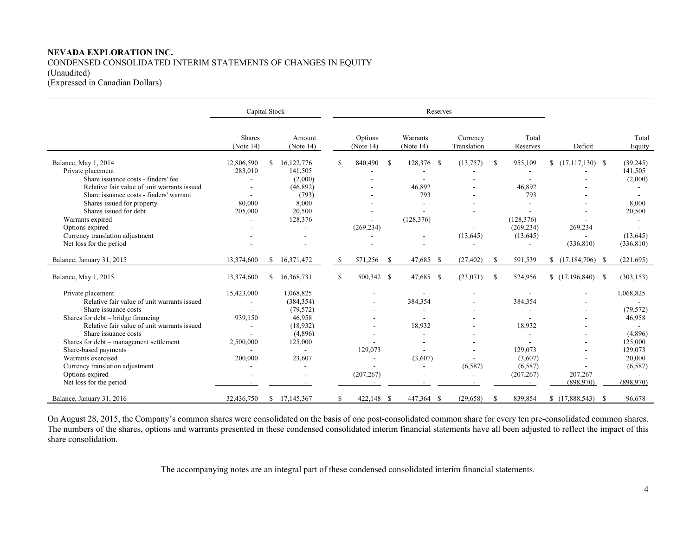# **NEVADA EXPLORATION INC.**  CONDENSED CONSOLIDATED INTERIM STATEMENTS OF CHANGES IN EQUITY (Unaudited) (Expressed in Canadian Dollars)

|                                                                                                                                                                                                                                                                                                                                                                                 | Capital Stock                                 |               |                                                                                            |    |                            |               | Reserves                                                                |                         |               |                                                                  |                       |                                                                                                     |
|---------------------------------------------------------------------------------------------------------------------------------------------------------------------------------------------------------------------------------------------------------------------------------------------------------------------------------------------------------------------------------|-----------------------------------------------|---------------|--------------------------------------------------------------------------------------------|----|----------------------------|---------------|-------------------------------------------------------------------------|-------------------------|---------------|------------------------------------------------------------------|-----------------------|-----------------------------------------------------------------------------------------------------|
|                                                                                                                                                                                                                                                                                                                                                                                 | Shares<br>(Note 14)                           |               | Amount<br>(Note 14)                                                                        |    | Options<br>(Note $14$ )    |               | Warrants<br>(Note 14)                                                   | Currency<br>Translation |               | Total<br>Reserves                                                | Deficit               | Total<br>Equity                                                                                     |
| Balance, May 1, 2014<br>Private placement<br>Share issuance costs - finders' fee<br>Relative fair value of unit warrants issued<br>Share issuance costs - finders' warrant<br>Shares issued for property<br>Shares issued for debt<br>Warrants expired                                                                                                                          | 12,806,590<br>283,010<br>80,000<br>205,000    | S             | 16,122,776<br>141,505<br>(2,000)<br>(46,892)<br>(793)<br>8,000<br>20,500<br>128,376        | \$ | 840,490                    | -S            | 128,376 \$<br>46,892<br>793<br>(128, 376)                               | (13,757)                | S             | 955,109<br>$\blacksquare$<br>46,892<br>793<br>(128, 376)         |                       | (39, 245)<br>141,505<br>(2,000)<br>8,000<br>20,500                                                  |
| Options expired<br>Currency translation adjustment<br>Net loss for the period                                                                                                                                                                                                                                                                                                   |                                               |               |                                                                                            |    | (269, 234)                 |               |                                                                         | (13, 645)               |               | (269, 234)<br>(13, 645)                                          | 269,234<br>(336, 810) | (13, 645)<br>(336, 810)                                                                             |
| Balance, January 31, 2015                                                                                                                                                                                                                                                                                                                                                       | 13,374,600                                    | \$            | 16,371,472                                                                                 | S  | 571,256                    | <sup>\$</sup> | 47,685 \$                                                               | (27, 402)               | -S            | 591,539                                                          |                       | (221, 695)                                                                                          |
| Balance, May 1, 2015                                                                                                                                                                                                                                                                                                                                                            | 13,374,600                                    | \$            | 16,368,731                                                                                 | S. | 500,342 \$                 |               | 47,685 \$                                                               | (23,071)                | <sup>\$</sup> | 524,956                                                          |                       | (303, 153)                                                                                          |
| Private placement<br>Relative fair value of unit warrants issued<br>Share issuance costs<br>Shares for debt – bridge financing<br>Relative fair value of unit warrants issued<br>Share issuance costs<br>Shares for debt - management settlement<br>Share-based payments<br>Warrants exercised<br>Currency translation adjustment<br>Options expired<br>Net loss for the period | 15,423,000<br>939,150<br>2,500,000<br>200,000 |               | 1,068,825<br>(384, 354)<br>(79, 572)<br>46,958<br>(18,932)<br>(4,896)<br>125,000<br>23,607 |    | 129,073<br>÷<br>(207, 267) |               | 384,354<br>$\overline{\phantom{a}}$<br>18,932<br>(3,607)<br>$\sim$<br>۰ | (6,587)<br>$\sim$       |               | 384,354<br>18,932<br>129,073<br>(3,607)<br>(6,587)<br>(207, 267) | 207,267<br>(898,970)  | 1,068,825<br>(79, 572)<br>46,958<br>(4,896)<br>125,000<br>129,073<br>20,000<br>(6,587)<br>(898,970) |
| Balance, January 31, 2016                                                                                                                                                                                                                                                                                                                                                       | 32,436,750                                    | <sup>\$</sup> | 17,145,367                                                                                 | \$ | 422,148 \$                 |               | 447,364 \$                                                              | (29, 658)               | -S            | 839,854                                                          |                       | 96,678                                                                                              |

On August 28, 2015, the Company's common shares were consolidated on the basis of one post-consolidated common share for every ten pre-consolidated common shares. The numbers of the shares, options and warrants presented in these condensed consolidated interim financial statements have all been adjusted to reflect the impact of this share consolidation.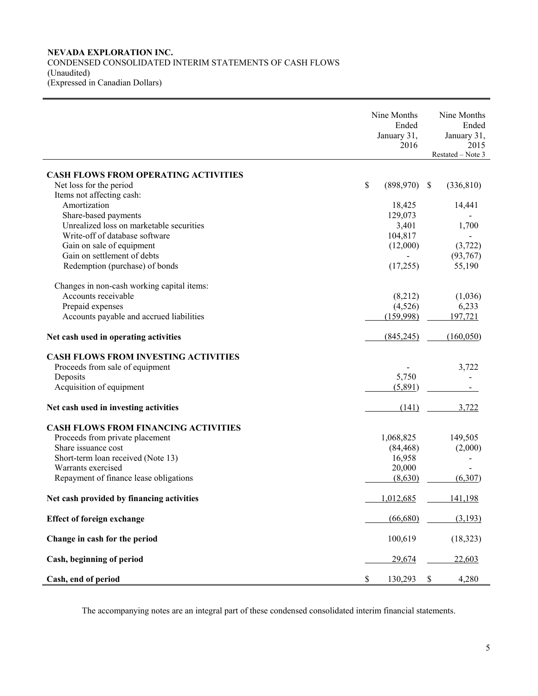# **NEVADA EXPLORATION INC.**  CONDENSED CONSOLIDATED INTERIM STATEMENTS OF CASH FLOWS (Unaudited) (Expressed in Canadian Dollars)

|                                             |      | Nine Months<br>Ended<br>January 31,<br>2016 | Nine Months<br>Ended<br>January 31,<br>2015<br>Restated - Note 3 |
|---------------------------------------------|------|---------------------------------------------|------------------------------------------------------------------|
|                                             |      |                                             |                                                                  |
| <b>CASH FLOWS FROM OPERATING ACTIVITIES</b> |      |                                             |                                                                  |
| Net loss for the period                     | \$   | (898, 970)                                  | \$<br>(336, 810)                                                 |
| Items not affecting cash:                   |      |                                             |                                                                  |
| Amortization                                |      | 18,425                                      | 14,441                                                           |
| Share-based payments                        |      | 129,073                                     |                                                                  |
| Unrealized loss on marketable securities    |      | 3,401                                       | 1,700                                                            |
| Write-off of database software              |      | 104,817                                     |                                                                  |
| Gain on sale of equipment                   |      | (12,000)                                    | (3, 722)                                                         |
| Gain on settlement of debts                 |      |                                             | (93,767)                                                         |
| Redemption (purchase) of bonds              |      | (17,255)                                    | 55,190                                                           |
| Changes in non-cash working capital items:  |      |                                             |                                                                  |
| Accounts receivable                         |      | (8,212)                                     | (1,036)                                                          |
| Prepaid expenses                            |      | (4,526)                                     | 6,233                                                            |
| Accounts payable and accrued liabilities    |      | (159,998)                                   | 197,721                                                          |
| Net cash used in operating activities       |      | (845,245)                                   | (160, 050)                                                       |
| <b>CASH FLOWS FROM INVESTING ACTIVITIES</b> |      |                                             |                                                                  |
| Proceeds from sale of equipment             |      |                                             | 3,722                                                            |
| Deposits                                    |      | 5,750                                       |                                                                  |
| Acquisition of equipment                    |      | (5,891)                                     |                                                                  |
| Net cash used in investing activities       |      | (141)                                       | 3,722                                                            |
| <b>CASH FLOWS FROM FINANCING ACTIVITIES</b> |      |                                             |                                                                  |
| Proceeds from private placement             |      | 1,068,825                                   | 149,505                                                          |
| Share issuance cost                         |      | (84, 468)                                   | (2,000)                                                          |
| Short-term loan received (Note 13)          |      | 16,958                                      |                                                                  |
| Warrants exercised                          |      | 20,000                                      |                                                                  |
| Repayment of finance lease obligations      |      | (8,630)                                     | (6,307)                                                          |
| Net cash provided by financing activities   |      | 1,012,685                                   | <u>141,198</u>                                                   |
| <b>Effect of foreign exchange</b>           |      | (66,680)                                    | (3,193)                                                          |
| Change in cash for the period               |      | 100,619                                     | (18, 323)                                                        |
| Cash, beginning of period                   |      | 29,674                                      | 22,603                                                           |
| Cash, end of period                         | $\$$ | 130,293                                     | \$<br>4,280                                                      |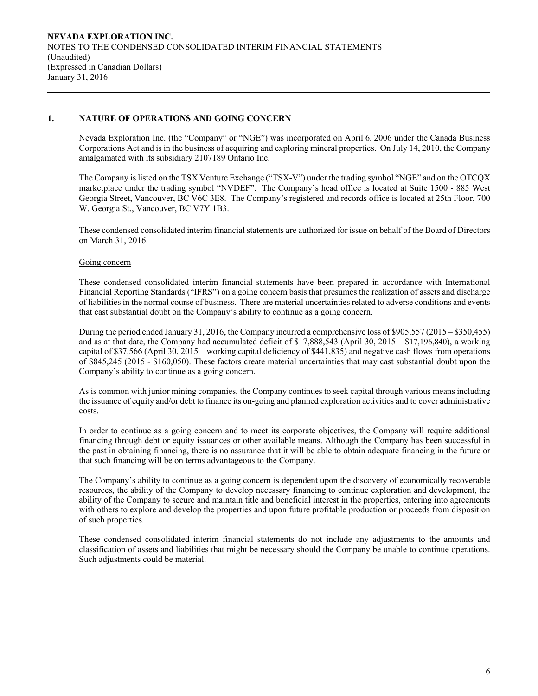# **1. NATURE OF OPERATIONS AND GOING CONCERN**

Nevada Exploration Inc. (the "Company" or "NGE") was incorporated on April 6, 2006 under the Canada Business Corporations Act and is in the business of acquiring and exploring mineral properties. On July 14, 2010, the Company amalgamated with its subsidiary 2107189 Ontario Inc.

The Company is listed on the TSX Venture Exchange ("TSX-V") under the trading symbol "NGE" and on the OTCQX marketplace under the trading symbol "NVDEF". The Company's head office is located at Suite 1500 - 885 West Georgia Street, Vancouver, BC V6C 3E8. The Company's registered and records office is located at 25th Floor, 700 W. Georgia St., Vancouver, BC V7Y 1B3.

 These condensed consolidated interim financial statements are authorized for issue on behalf of the Board of Directors on March 31, 2016.

### Going concern

These condensed consolidated interim financial statements have been prepared in accordance with International Financial Reporting Standards ("IFRS") on a going concern basis that presumes the realization of assets and discharge of liabilities in the normal course of business. There are material uncertainties related to adverse conditions and events that cast substantial doubt on the Company's ability to continue as a going concern.

During the period ended January 31, 2016, the Company incurred a comprehensive loss of \$905,557 (2015 – \$350,455) and as at that date, the Company had accumulated deficit of \$17,888,543 (April 30, 2015 – \$17,196,840), a working capital of \$37,566 (April 30, 2015 – working capital deficiency of \$441,835) and negative cash flows from operations of \$845,245 (2015 - \$160,050). These factors create material uncertainties that may cast substantial doubt upon the Company's ability to continue as a going concern.

As is common with junior mining companies, the Company continues to seek capital through various means including the issuance of equity and/or debt to finance its on-going and planned exploration activities and to cover administrative costs.

In order to continue as a going concern and to meet its corporate objectives, the Company will require additional financing through debt or equity issuances or other available means. Although the Company has been successful in the past in obtaining financing, there is no assurance that it will be able to obtain adequate financing in the future or that such financing will be on terms advantageous to the Company.

The Company's ability to continue as a going concern is dependent upon the discovery of economically recoverable resources, the ability of the Company to develop necessary financing to continue exploration and development, the ability of the Company to secure and maintain title and beneficial interest in the properties, entering into agreements with others to explore and develop the properties and upon future profitable production or proceeds from disposition of such properties.

These condensed consolidated interim financial statements do not include any adjustments to the amounts and classification of assets and liabilities that might be necessary should the Company be unable to continue operations. Such adjustments could be material.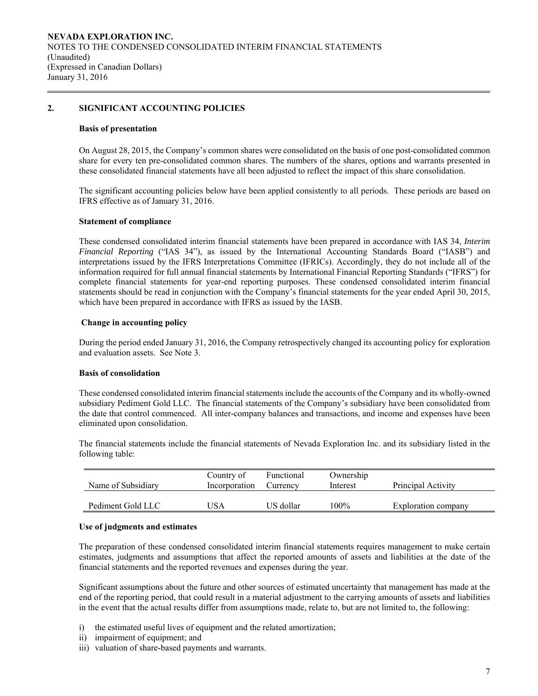## **2. SIGNIFICANT ACCOUNTING POLICIES**

#### **Basis of presentation**

On August 28, 2015, the Company's common shares were consolidated on the basis of one post-consolidated common share for every ten pre-consolidated common shares. The numbers of the shares, options and warrants presented in these consolidated financial statements have all been adjusted to reflect the impact of this share consolidation.

The significant accounting policies below have been applied consistently to all periods. These periods are based on IFRS effective as of January 31, 2016.

#### **Statement of compliance**

 These condensed consolidated interim financial statements have been prepared in accordance with IAS 34, *Interim Financial Reporting* ("IAS 34"), as issued by the International Accounting Standards Board ("IASB") and interpretations issued by the IFRS Interpretations Committee (IFRICs). Accordingly, they do not include all of the information required for full annual financial statements by International Financial Reporting Standards ("IFRS") for complete financial statements for year-end reporting purposes. These condensed consolidated interim financial statements should be read in conjunction with the Company's financial statements for the year ended April 30, 2015, which have been prepared in accordance with IFRS as issued by the IASB.

# **Change in accounting policy**

 During the period ended January 31, 2016, the Company retrospectively changed its accounting policy for exploration and evaluation assets. See Note 3.

### **Basis of consolidation**

 These condensed consolidated interim financial statements include the accounts of the Company and its wholly-owned subsidiary Pediment Gold LLC. The financial statements of the Company's subsidiary have been consolidated from the date that control commenced. All inter-company balances and transactions, and income and expenses have been eliminated upon consolidation.

The financial statements include the financial statements of Nevada Exploration Inc. and its subsidiary listed in the following table:

| Name of Subsidiary | Country of<br>Incorporation | Functional<br>Currency | Ownership<br>Interest | Principal Activity  |
|--------------------|-----------------------------|------------------------|-----------------------|---------------------|
| Pediment Gold LLC  | USA                         | US dollar              | 100%                  | Exploration company |

#### **Use of judgments and estimates**

The preparation of these condensed consolidated interim financial statements requires management to make certain estimates, judgments and assumptions that affect the reported amounts of assets and liabilities at the date of the financial statements and the reported revenues and expenses during the year.

 Significant assumptions about the future and other sources of estimated uncertainty that management has made at the end of the reporting period, that could result in a material adjustment to the carrying amounts of assets and liabilities in the event that the actual results differ from assumptions made, relate to, but are not limited to, the following:

- i) the estimated useful lives of equipment and the related amortization;
- ii) impairment of equipment; and
- iii) valuation of share-based payments and warrants.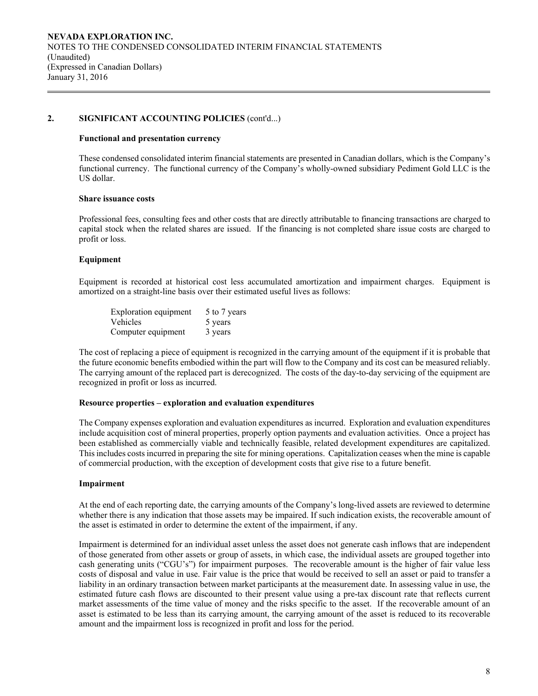# **2. SIGNIFICANT ACCOUNTING POLICIES** (cont'd...)

#### **Functional and presentation currency**

These condensed consolidated interim financial statements are presented in Canadian dollars, which is the Company's functional currency. The functional currency of the Company's wholly-owned subsidiary Pediment Gold LLC is the US dollar.

# **Share issuance costs**

 Professional fees, consulting fees and other costs that are directly attributable to financing transactions are charged to capital stock when the related shares are issued. If the financing is not completed share issue costs are charged to profit or loss.

### **Equipment**

Equipment is recorded at historical cost less accumulated amortization and impairment charges. Equipment is amortized on a straight-line basis over their estimated useful lives as follows:

| Exploration equipment | 5 to 7 years |
|-----------------------|--------------|
| <b>Vehicles</b>       | 5 years      |
| Computer equipment    | 3 years      |

The cost of replacing a piece of equipment is recognized in the carrying amount of the equipment if it is probable that the future economic benefits embodied within the part will flow to the Company and its cost can be measured reliably. The carrying amount of the replaced part is derecognized. The costs of the day-to-day servicing of the equipment are recognized in profit or loss as incurred.

### **Resource properties – exploration and evaluation expenditures**

 The Company expenses exploration and evaluation expenditures as incurred. Exploration and evaluation expenditures include acquisition cost of mineral properties, properly option payments and evaluation activities. Once a project has been established as commercially viable and technically feasible, related development expenditures are capitalized. This includes costs incurred in preparing the site for mining operations. Capitalization ceases when the mine is capable of commercial production, with the exception of development costs that give rise to a future benefit.

### **Impairment**

At the end of each reporting date, the carrying amounts of the Company's long-lived assets are reviewed to determine whether there is any indication that those assets may be impaired. If such indication exists, the recoverable amount of the asset is estimated in order to determine the extent of the impairment, if any.

Impairment is determined for an individual asset unless the asset does not generate cash inflows that are independent of those generated from other assets or group of assets, in which case, the individual assets are grouped together into cash generating units ("CGU's") for impairment purposes. The recoverable amount is the higher of fair value less costs of disposal and value in use. Fair value is the price that would be received to sell an asset or paid to transfer a liability in an ordinary transaction between market participants at the measurement date. In assessing value in use, the estimated future cash flows are discounted to their present value using a pre-tax discount rate that reflects current market assessments of the time value of money and the risks specific to the asset. If the recoverable amount of an asset is estimated to be less than its carrying amount, the carrying amount of the asset is reduced to its recoverable amount and the impairment loss is recognized in profit and loss for the period.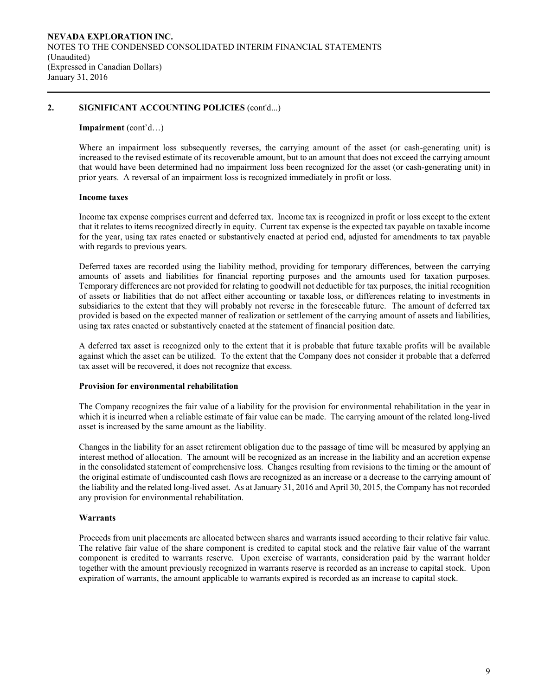# **2. SIGNIFICANT ACCOUNTING POLICIES** (cont'd...)

#### **Impairment** (cont'd…)

Where an impairment loss subsequently reverses, the carrying amount of the asset (or cash-generating unit) is increased to the revised estimate of its recoverable amount, but to an amount that does not exceed the carrying amount that would have been determined had no impairment loss been recognized for the asset (or cash-generating unit) in prior years. A reversal of an impairment loss is recognized immediately in profit or loss.

### **Income taxes**

Income tax expense comprises current and deferred tax. Income tax is recognized in profit or loss except to the extent that it relates to items recognized directly in equity. Current tax expense is the expected tax payable on taxable income for the year, using tax rates enacted or substantively enacted at period end, adjusted for amendments to tax payable with regards to previous years.

Deferred taxes are recorded using the liability method, providing for temporary differences, between the carrying amounts of assets and liabilities for financial reporting purposes and the amounts used for taxation purposes. Temporary differences are not provided for relating to goodwill not deductible for tax purposes, the initial recognition of assets or liabilities that do not affect either accounting or taxable loss, or differences relating to investments in subsidiaries to the extent that they will probably not reverse in the foreseeable future. The amount of deferred tax provided is based on the expected manner of realization or settlement of the carrying amount of assets and liabilities, using tax rates enacted or substantively enacted at the statement of financial position date.

A deferred tax asset is recognized only to the extent that it is probable that future taxable profits will be available against which the asset can be utilized. To the extent that the Company does not consider it probable that a deferred tax asset will be recovered, it does not recognize that excess.

### **Provision for environmental rehabilitation**

The Company recognizes the fair value of a liability for the provision for environmental rehabilitation in the year in which it is incurred when a reliable estimate of fair value can be made. The carrying amount of the related long-lived asset is increased by the same amount as the liability.

Changes in the liability for an asset retirement obligation due to the passage of time will be measured by applying an interest method of allocation. The amount will be recognized as an increase in the liability and an accretion expense in the consolidated statement of comprehensive loss. Changes resulting from revisions to the timing or the amount of the original estimate of undiscounted cash flows are recognized as an increase or a decrease to the carrying amount of the liability and the related long-lived asset. As at January 31, 2016 and April 30, 2015, the Company has not recorded any provision for environmental rehabilitation.

### **Warrants**

Proceeds from unit placements are allocated between shares and warrants issued according to their relative fair value. The relative fair value of the share component is credited to capital stock and the relative fair value of the warrant component is credited to warrants reserve. Upon exercise of warrants, consideration paid by the warrant holder together with the amount previously recognized in warrants reserve is recorded as an increase to capital stock. Upon expiration of warrants, the amount applicable to warrants expired is recorded as an increase to capital stock.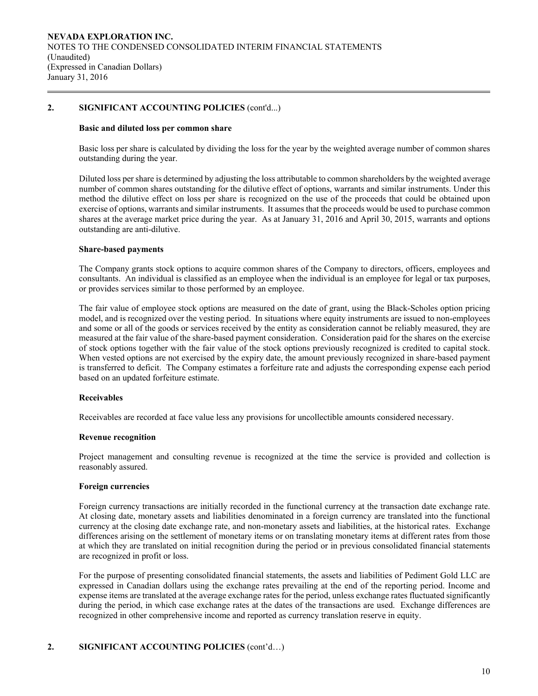# **2. SIGNIFICANT ACCOUNTING POLICIES** (cont'd...)

### **Basic and diluted loss per common share**

Basic loss per share is calculated by dividing the loss for the year by the weighted average number of common shares outstanding during the year.

 Diluted loss per share is determined by adjusting the loss attributable to common shareholders by the weighted average number of common shares outstanding for the dilutive effect of options, warrants and similar instruments. Under this method the dilutive effect on loss per share is recognized on the use of the proceeds that could be obtained upon exercise of options, warrants and similar instruments. It assumes that the proceeds would be used to purchase common shares at the average market price during the year. As at January 31, 2016 and April 30, 2015, warrants and options outstanding are anti-dilutive.

### **Share-based payments**

The Company grants stock options to acquire common shares of the Company to directors, officers, employees and consultants. An individual is classified as an employee when the individual is an employee for legal or tax purposes, or provides services similar to those performed by an employee.

The fair value of employee stock options are measured on the date of grant, using the Black-Scholes option pricing model, and is recognized over the vesting period. In situations where equity instruments are issued to non-employees and some or all of the goods or services received by the entity as consideration cannot be reliably measured, they are measured at the fair value of the share-based payment consideration. Consideration paid for the shares on the exercise of stock options together with the fair value of the stock options previously recognized is credited to capital stock. When vested options are not exercised by the expiry date, the amount previously recognized in share-based payment is transferred to deficit. The Company estimates a forfeiture rate and adjusts the corresponding expense each period based on an updated forfeiture estimate.

### **Receivables**

Receivables are recorded at face value less any provisions for uncollectible amounts considered necessary.

#### **Revenue recognition**

Project management and consulting revenue is recognized at the time the service is provided and collection is reasonably assured.

#### **Foreign currencies**

 Foreign currency transactions are initially recorded in the functional currency at the transaction date exchange rate. At closing date, monetary assets and liabilities denominated in a foreign currency are translated into the functional currency at the closing date exchange rate, and non-monetary assets and liabilities, at the historical rates. Exchange differences arising on the settlement of monetary items or on translating monetary items at different rates from those at which they are translated on initial recognition during the period or in previous consolidated financial statements are recognized in profit or loss.

For the purpose of presenting consolidated financial statements, the assets and liabilities of Pediment Gold LLC are expressed in Canadian dollars using the exchange rates prevailing at the end of the reporting period. Income and expense items are translated at the average exchange rates for the period, unless exchange rates fluctuated significantly during the period, in which case exchange rates at the dates of the transactions are used. Exchange differences are recognized in other comprehensive income and reported as currency translation reserve in equity.

### **2. SIGNIFICANT ACCOUNTING POLICIES** (cont'd…)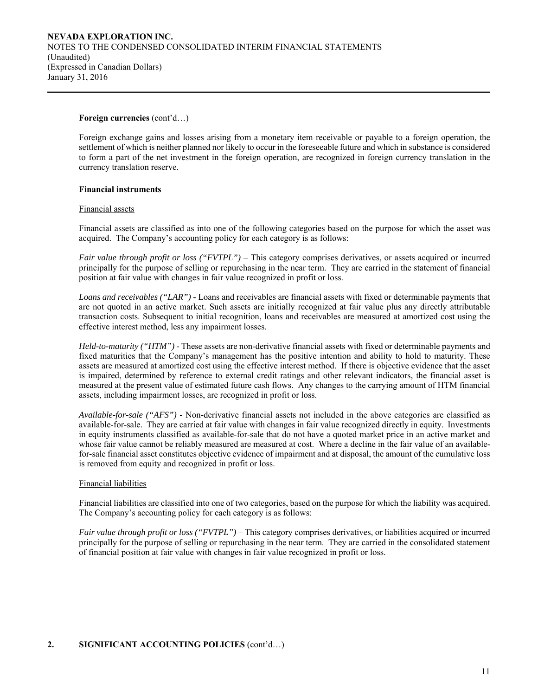### **Foreign currencies** (cont'd…)

 Foreign exchange gains and losses arising from a monetary item receivable or payable to a foreign operation, the settlement of which is neither planned nor likely to occur in the foreseeable future and which in substance is considered to form a part of the net investment in the foreign operation, are recognized in foreign currency translation in the currency translation reserve.

#### **Financial instruments**

#### Financial assets

Financial assets are classified as into one of the following categories based on the purpose for which the asset was acquired. The Company's accounting policy for each category is as follows:

*Fair value through profit or loss ("FVTPL")* – This category comprises derivatives, or assets acquired or incurred principally for the purpose of selling or repurchasing in the near term. They are carried in the statement of financial position at fair value with changes in fair value recognized in profit or loss.

*Loans and receivables ("LAR") -* Loans and receivables are financial assets with fixed or determinable payments that are not quoted in an active market. Such assets are initially recognized at fair value plus any directly attributable transaction costs. Subsequent to initial recognition, loans and receivables are measured at amortized cost using the effective interest method, less any impairment losses.

*Held-to-maturity ("HTM") -* These assets are non-derivative financial assets with fixed or determinable payments and fixed maturities that the Company's management has the positive intention and ability to hold to maturity. These assets are measured at amortized cost using the effective interest method. If there is objective evidence that the asset is impaired, determined by reference to external credit ratings and other relevant indicators, the financial asset is measured at the present value of estimated future cash flows. Any changes to the carrying amount of HTM financial assets, including impairment losses, are recognized in profit or loss.

*Available-for-sale ("AFS") -* Non-derivative financial assets not included in the above categories are classified as available-for-sale. They are carried at fair value with changes in fair value recognized directly in equity. Investments in equity instruments classified as available-for-sale that do not have a quoted market price in an active market and whose fair value cannot be reliably measured are measured at cost. Where a decline in the fair value of an availablefor-sale financial asset constitutes objective evidence of impairment and at disposal, the amount of the cumulative loss is removed from equity and recognized in profit or loss.

### Financial liabilities

 Financial liabilities are classified into one of two categories, based on the purpose for which the liability was acquired. The Company's accounting policy for each category is as follows:

*Fair value through profit or loss ("FVTPL")* – This category comprises derivatives, or liabilities acquired or incurred principally for the purpose of selling or repurchasing in the near term. They are carried in the consolidated statement of financial position at fair value with changes in fair value recognized in profit or loss.

# **2. SIGNIFICANT ACCOUNTING POLICIES** (cont'd…)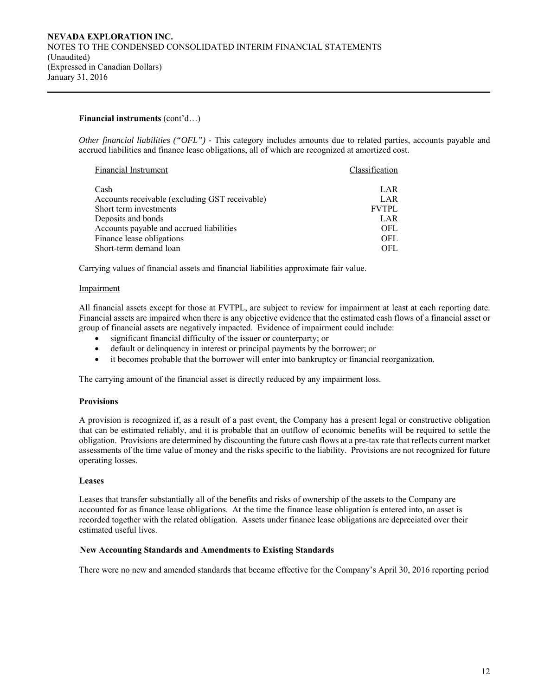### **Financial instruments** (cont'd…)

*Other financial liabilities ("OFL") -* This category includes amounts due to related parties, accounts payable and accrued liabilities and finance lease obligations, all of which are recognized at amortized cost.

| Financial Instrument                           | Classification |
|------------------------------------------------|----------------|
|                                                |                |
| Cash                                           | LAR            |
| Accounts receivable (excluding GST receivable) | LAR            |
| Short term investments                         | <b>FVTPL</b>   |
| Deposits and bonds                             | LAR            |
| Accounts payable and accrued liabilities       | OFL            |
| Finance lease obligations                      | OFL            |
| Short-term demand loan                         | OFL.           |

Carrying values of financial assets and financial liabilities approximate fair value.

### Impairment

All financial assets except for those at FVTPL, are subject to review for impairment at least at each reporting date. Financial assets are impaired when there is any objective evidence that the estimated cash flows of a financial asset or group of financial assets are negatively impacted. Evidence of impairment could include:

- significant financial difficulty of the issuer or counterparty; or
- default or delinquency in interest or principal payments by the borrower; or
- it becomes probable that the borrower will enter into bankruptcy or financial reorganization.

The carrying amount of the financial asset is directly reduced by any impairment loss.

### **Provisions**

A provision is recognized if, as a result of a past event, the Company has a present legal or constructive obligation that can be estimated reliably, and it is probable that an outflow of economic benefits will be required to settle the obligation. Provisions are determined by discounting the future cash flows at a pre-tax rate that reflects current market assessments of the time value of money and the risks specific to the liability. Provisions are not recognized for future operating losses.

### **Leases**

Leases that transfer substantially all of the benefits and risks of ownership of the assets to the Company are accounted for as finance lease obligations. At the time the finance lease obligation is entered into, an asset is recorded together with the related obligation. Assets under finance lease obligations are depreciated over their estimated useful lives.

### **New Accounting Standards and Amendments to Existing Standards**

There were no new and amended standards that became effective for the Company's April 30, 2016 reporting period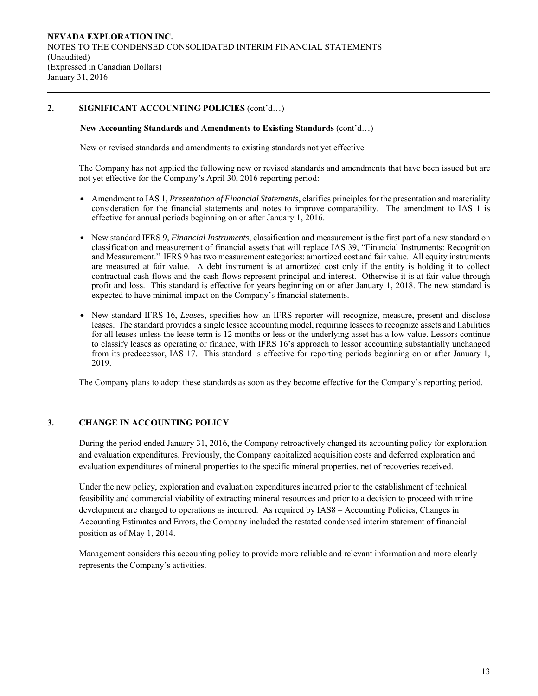# **2. SIGNIFICANT ACCOUNTING POLICIES** (cont'd…)

## **New Accounting Standards and Amendments to Existing Standards** (cont'd…)

New or revised standards and amendments to existing standards not yet effective

 The Company has not applied the following new or revised standards and amendments that have been issued but are not yet effective for the Company's April 30, 2016 reporting period:

- Amendment to IAS 1, *Presentation of Financial Statements*, clarifies principles for the presentation and materiality consideration for the financial statements and notes to improve comparability. The amendment to IAS 1 is effective for annual periods beginning on or after January 1, 2016.
- New standard IFRS 9, *Financial Instruments*, classification and measurement is the first part of a new standard on classification and measurement of financial assets that will replace IAS 39, "Financial Instruments: Recognition and Measurement." IFRS 9 has two measurement categories: amortized cost and fair value. All equity instruments are measured at fair value. A debt instrument is at amortized cost only if the entity is holding it to collect contractual cash flows and the cash flows represent principal and interest. Otherwise it is at fair value through profit and loss. This standard is effective for years beginning on or after January 1, 2018. The new standard is expected to have minimal impact on the Company's financial statements.
- New standard IFRS 16, *Leases*, specifies how an IFRS reporter will recognize, measure, present and disclose leases. The standard provides a single lessee accounting model, requiring lessees to recognize assets and liabilities for all leases unless the lease term is 12 months or less or the underlying asset has a low value. Lessors continue to classify leases as operating or finance, with IFRS 16's approach to lessor accounting substantially unchanged from its predecessor, IAS 17. This standard is effective for reporting periods beginning on or after January 1, 2019.

The Company plans to adopt these standards as soon as they become effective for the Company's reporting period.

# **3. CHANGE IN ACCOUNTING POLICY**

During the period ended January 31, 2016, the Company retroactively changed its accounting policy for exploration and evaluation expenditures. Previously, the Company capitalized acquisition costs and deferred exploration and evaluation expenditures of mineral properties to the specific mineral properties, net of recoveries received.

Under the new policy, exploration and evaluation expenditures incurred prior to the establishment of technical feasibility and commercial viability of extracting mineral resources and prior to a decision to proceed with mine development are charged to operations as incurred. As required by IAS8 – Accounting Policies, Changes in Accounting Estimates and Errors, the Company included the restated condensed interim statement of financial position as of May 1, 2014.

Management considers this accounting policy to provide more reliable and relevant information and more clearly represents the Company's activities.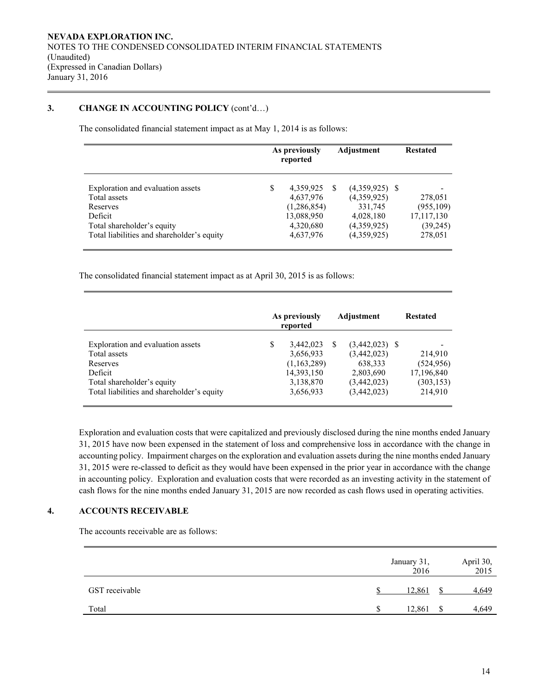# **3. CHANGE IN ACCOUNTING POLICY** (cont'd…)

The consolidated financial statement impact as at May 1, 2014 is as follows:

|                                                                                                                                                      | As previously<br>reported |                                                                               | Adjustment | <b>Restated</b>                                                                       |                                                             |
|------------------------------------------------------------------------------------------------------------------------------------------------------|---------------------------|-------------------------------------------------------------------------------|------------|---------------------------------------------------------------------------------------|-------------------------------------------------------------|
| Exploration and evaluation assets<br>Total assets<br>Reserves<br>Deficit<br>Total shareholder's equity<br>Total liabilities and shareholder's equity | S                         | 4,359,925<br>4,637,976<br>(1,286,854)<br>13,088,950<br>4,320,680<br>4,637,976 | <b>S</b>   | $(4,359,925)$ \$<br>(4,359,925)<br>331,745<br>4,028,180<br>(4,359,925)<br>(4,359,925) | 278,051<br>(955, 109)<br>17,117,130<br>(39, 245)<br>278,051 |

The consolidated financial statement impact as at April 30, 2015 is as follows:

|                                                                                                                                                      | As previously<br>reported                                                           |          | Adjustment                                                                            | <b>Restated</b>                                              |
|------------------------------------------------------------------------------------------------------------------------------------------------------|-------------------------------------------------------------------------------------|----------|---------------------------------------------------------------------------------------|--------------------------------------------------------------|
| Exploration and evaluation assets<br>Total assets<br>Reserves<br>Deficit<br>Total shareholder's equity<br>Total liabilities and shareholder's equity | \$<br>3,442,023<br>3,656,933<br>(1,163,289)<br>14,393,150<br>3,138,870<br>3,656,933 | <b>S</b> | $(3,442,023)$ \$<br>(3,442,023)<br>638,333<br>2,803,690<br>(3,442,023)<br>(3,442,023) | 214,910<br>(524, 956)<br>17,196,840<br>(303, 153)<br>214,910 |

Exploration and evaluation costs that were capitalized and previously disclosed during the nine months ended January 31, 2015 have now been expensed in the statement of loss and comprehensive loss in accordance with the change in accounting policy. Impairment charges on the exploration and evaluation assets during the nine months ended January 31, 2015 were re-classed to deficit as they would have been expensed in the prior year in accordance with the change in accounting policy. Exploration and evaluation costs that were recorded as an investing activity in the statement of cash flows for the nine months ended January 31, 2015 are now recorded as cash flows used in operating activities.

# **4. ACCOUNTS RECEIVABLE**

The accounts receivable are as follows:

|                | January 31,<br>2016 |    | April 30,<br>2015 |
|----------------|---------------------|----|-------------------|
| GST receivable | 12,861              |    | 4,649             |
| Total          | 12,861<br>S.        | -S | 4,649             |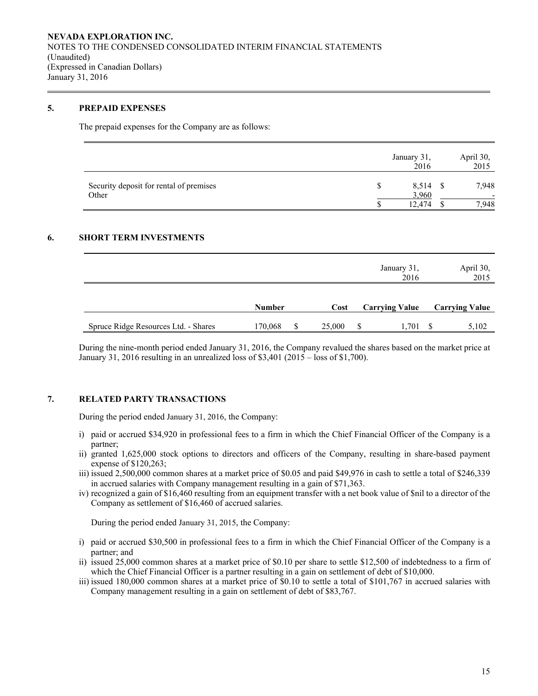## **5. PREPAID EXPENSES**

The prepaid expenses for the Company are as follows:

|                                                  | January 31,<br>2016 | April 30,<br>2015 |
|--------------------------------------------------|---------------------|-------------------|
| Security deposit for rental of premises<br>Other | $8,514$ \$<br>3,960 | 7,948             |
|                                                  | 12.474              | '.948             |

### **6. SHORT TERM INVESTMENTS**

|                                      |               |        | January 31,<br>2016   | April 30,<br>2015     |
|--------------------------------------|---------------|--------|-----------------------|-----------------------|
|                                      | <b>Number</b> | Cost   | <b>Carrying Value</b> | <b>Carrying Value</b> |
| Spruce Ridge Resources Ltd. - Shares | 170,068       | 25,000 | 1,701                 | 5,102                 |

During the nine-month period ended January 31, 2016, the Company revalued the shares based on the market price at January 31, 2016 resulting in an unrealized loss of \$3,401 (2015 – loss of \$1,700).

# **7. RELATED PARTY TRANSACTIONS**

During the period ended January 31, 2016, the Company:

- i) paid or accrued \$34,920 in professional fees to a firm in which the Chief Financial Officer of the Company is a partner;
- ii) granted 1,625,000 stock options to directors and officers of the Company, resulting in share-based payment expense of \$120,263;
- iii) issued 2,500,000 common shares at a market price of \$0.05 and paid \$49,976 in cash to settle a total of \$246,339 in accrued salaries with Company management resulting in a gain of \$71,363.
- iv) recognized a gain of \$16,460 resulting from an equipment transfer with a net book value of \$nil to a director of the Company as settlement of \$16,460 of accrued salaries.

During the period ended January 31, 2015, the Company:

- i) paid or accrued \$30,500 in professional fees to a firm in which the Chief Financial Officer of the Company is a partner; and
- ii) issued 25,000 common shares at a market price of \$0.10 per share to settle \$12,500 of indebtedness to a firm of which the Chief Financial Officer is a partner resulting in a gain on settlement of debt of \$10,000.
- iii) issued 180,000 common shares at a market price of \$0.10 to settle a total of \$101,767 in accrued salaries with Company management resulting in a gain on settlement of debt of \$83,767.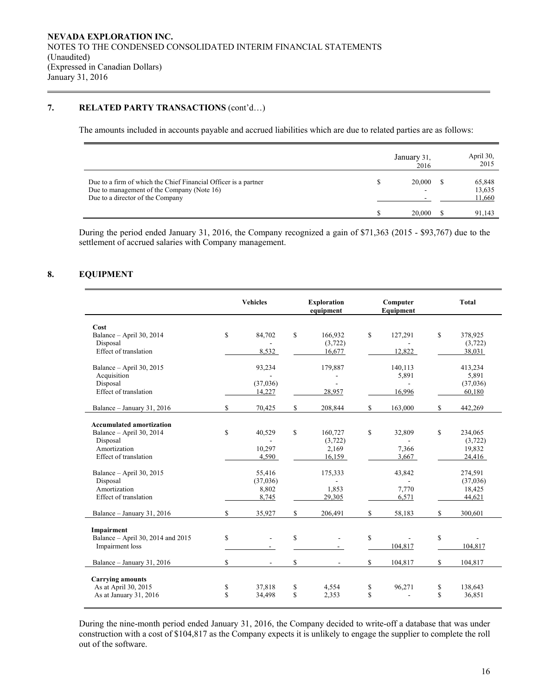# **7. RELATED PARTY TRANSACTIONS** (cont'd…)

The amounts included in accounts payable and accrued liabilities which are due to related parties are as follows:

|                                                                                                                                                   | January 31,<br>2016 | April 30,<br>2015          |
|---------------------------------------------------------------------------------------------------------------------------------------------------|---------------------|----------------------------|
| Due to a firm of which the Chief Financial Officer is a partner<br>Due to management of the Company (Note 16)<br>Due to a director of the Company | 20,000              | 65,848<br>13,635<br>11,660 |
|                                                                                                                                                   | 20,000              | 91,143                     |

During the period ended January 31, 2016, the Company recognized a gain of \$71,363 (2015 - \$93,767) due to the settlement of accrued salaries with Company management.

# **8. EQUIPMENT**

|                                                                                                                                                                                                     |             | <b>Vehicles</b>                                                   |                    | <b>Exploration</b><br>equipment                                     |          | Computer<br>Equipment                                |          | <b>Total</b>                                                                      |
|-----------------------------------------------------------------------------------------------------------------------------------------------------------------------------------------------------|-------------|-------------------------------------------------------------------|--------------------|---------------------------------------------------------------------|----------|------------------------------------------------------|----------|-----------------------------------------------------------------------------------|
| Cost<br>Balance - April 30, 2014<br>Disposal<br>Effect of translation                                                                                                                               | $\mathbf S$ | 84,702<br>8,532                                                   | \$                 | 166,932<br>(3,722)<br>16,677                                        | \$       | 127,291<br>12,822                                    | \$       | 378,925<br>(3,722)<br>38,031                                                      |
| Balance - April 30, 2015<br>Acquisition<br>Disposal<br>Effect of translation                                                                                                                        |             | 93,234<br>(37,036)<br>14,227                                      |                    | 179,887<br>L,<br>28,957                                             |          | 140,113<br>5,891<br>16,996                           |          | 413,234<br>5,891<br>(37,036)<br>60,180                                            |
| Balance - January 31, 2016                                                                                                                                                                          | \$          | 70,425                                                            | \$                 | 208,844                                                             | \$       | 163,000                                              | \$       | 442,269                                                                           |
| <b>Accumulated amortization</b><br>Balance - April 30, 2014<br>Disposal<br>Amortization<br>Effect of translation<br>Balance $-$ April 30, 2015<br>Disposal<br>Amortization<br>Effect of translation | $\mathbf S$ | 40,529<br>10,297<br>4,590<br>55,416<br>(37,036)<br>8,802<br>8,745 | \$                 | 160,727<br>(3,722)<br>2,169<br>16,159<br>175,333<br>1,853<br>29,305 | \$       | 32,809<br>7,366<br>3,667<br>43,842<br>7,770<br>6,571 | \$       | 234,065<br>(3,722)<br>19,832<br>24,416<br>274,591<br>(37,036)<br>18,425<br>44,621 |
| Balance - January 31, 2016                                                                                                                                                                          | \$          | 35,927                                                            | \$                 | 206,491                                                             | \$       | 58,183                                               | \$       | 300,601                                                                           |
| Impairment<br>Balance - April 30, 2014 and 2015<br>Impairment loss<br>Balance - January 31, 2016                                                                                                    | \$<br>\$    | ÷.<br>÷.                                                          | \$<br>$\mathbb{S}$ | ٠                                                                   | \$<br>S  | 104,817<br>104,817                                   | \$<br>\$ | 104,817<br>104,817                                                                |
| <b>Carrying amounts</b><br>As at April 30, 2015<br>As at January 31, 2016                                                                                                                           | \$<br>\$    | 37,818<br>34,498                                                  | \$<br>$\mathbf S$  | 4,554<br>2,353                                                      | \$<br>\$ | 96,271                                               | \$<br>\$ | 138,643<br>36,851                                                                 |

During the nine-month period ended January 31, 2016, the Company decided to write-off a database that was under construction with a cost of \$104,817 as the Company expects it is unlikely to engage the supplier to complete the roll out of the software.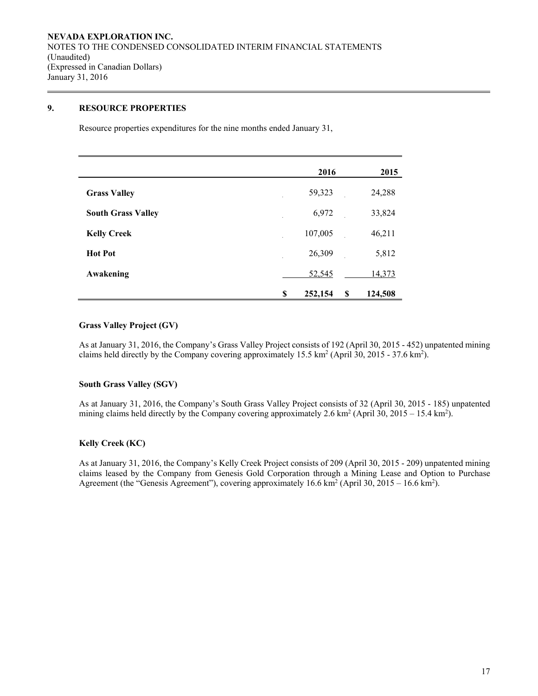# **9. RESOURCE PROPERTIES**

Resource properties expenditures for the nine months ended January 31,

|                           | 2016          | 2015          |
|---------------------------|---------------|---------------|
| <b>Grass Valley</b>       | 59,323        | 24,288        |
| <b>South Grass Valley</b> | 6,972         | 33,824        |
| <b>Kelly Creek</b>        | 107,005       | 46,211        |
| <b>Hot Pot</b>            | 26,309        | 5,812         |
| Awakening                 | 52,545        | 14,373        |
|                           | \$<br>252,154 | \$<br>124,508 |

# **Grass Valley Project (GV)**

As at January 31, 2016, the Company's Grass Valley Project consists of 192 (April 30, 2015 - 452) unpatented mining claims held directly by the Company covering approximately  $15.5 \text{ km}^2$  (April 30, 2015 - 37.6 km<sup>2</sup>).

### **South Grass Valley (SGV)**

As at January 31, 2016, the Company's South Grass Valley Project consists of 32 (April 30, 2015 - 185) unpatented mining claims held directly by the Company covering approximately 2.6 km<sup>2</sup> (April 30, 2015 – 15.4 km<sup>2</sup>).

### **Kelly Creek (KC)**

As at January 31, 2016, the Company's Kelly Creek Project consists of 209 (April 30, 2015 - 209) unpatented mining claims leased by the Company from Genesis Gold Corporation through a Mining Lease and Option to Purchase Agreement (the "Genesis Agreement"), covering approximately  $16.6 \text{ km}^2$  (April 30,  $2015 - 16.6 \text{ km}^2$ ).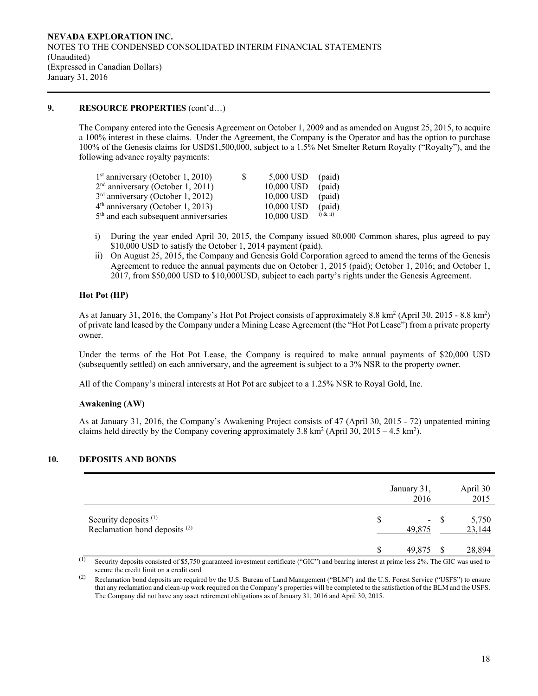# **9. RESOURCE PROPERTIES** (cont'd…)

The Company entered into the Genesis Agreement on October 1, 2009 and as amended on August 25, 2015, to acquire a 100% interest in these claims. Under the Agreement, the Company is the Operator and has the option to purchase 100% of the Genesis claims for USD\$1,500,000, subject to a 1.5% Net Smelter Return Royalty ("Royalty"), and the following advance royalty payments:

| $1st$ anniversary (October 1, 2010)               | S. | 5,000 USD  | (paid)       |
|---------------------------------------------------|----|------------|--------------|
| $2nd$ anniversary (October 1, 2011)               |    | 10,000 USD | (paid)       |
| $3rd$ anniversary (October 1, 2012)               |    | 10,000 USD | (paid)       |
| $4th$ anniversary (October 1, 2013)               |    | 10,000 USD | (paid)       |
| 5 <sup>th</sup> and each subsequent anniversaries |    | 10,000 USD | $i)$ & $ii)$ |

- i) During the year ended April 30, 2015, the Company issued 80,000 Common shares, plus agreed to pay \$10,000 USD to satisfy the October 1, 2014 payment (paid).
- ii) On August 25, 2015, the Company and Genesis Gold Corporation agreed to amend the terms of the Genesis Agreement to reduce the annual payments due on October 1, 2015 (paid); October 1, 2016; and October 1, 2017, from \$50,000 USD to \$10,000USD, subject to each party's rights under the Genesis Agreement.

### **Hot Pot (HP)**

As at January 31, 2016, the Company's Hot Pot Project consists of approximately 8.8 km<sup>2</sup> (April 30, 2015 - 8.8 km<sup>2</sup>) of private land leased by the Company under a Mining Lease Agreement (the "Hot Pot Lease") from a private property owner.

Under the terms of the Hot Pot Lease, the Company is required to make annual payments of \$20,000 USD (subsequently settled) on each anniversary, and the agreement is subject to a 3% NSR to the property owner.

All of the Company's mineral interests at Hot Pot are subject to a 1.25% NSR to Royal Gold, Inc.

### **Awakening (AW)**

As at January 31, 2016, the Company's Awakening Project consists of 47 (April 30, 2015 - 72) unpatented mining claims held directly by the Company covering approximately 3.8 km<sup>2</sup> (April 30, 2015 – 4.5 km<sup>2</sup>).

# **10. DEPOSITS AND BONDS**

|                                                                              | January 31,<br>2016 |       | April 30<br>2015 |
|------------------------------------------------------------------------------|---------------------|-------|------------------|
| Security deposits <sup>(1)</sup><br>Reclamation bond deposits <sup>(2)</sup> | S<br>49,875         | $- S$ | 5,750<br>23,144  |
|                                                                              | 49,875              | S     | 28,894           |

(1) Security deposits consisted of \$5,750 guaranteed investment certificate ("GIC") and bearing interest at prime less 2%. The GIC was used to secure the credit limit on a credit card.

<sup>(2)</sup> Reclamation bond deposits are required by the U.S. Bureau of Land Management ("BLM") and the U.S. Forest Service ("USFS") to ensure that any reclamation and clean-up work required on the Company's properties will be completed to the satisfaction of the BLM and the USFS. The Company did not have any asset retirement obligations as of January 31, 2016 and April 30, 2015.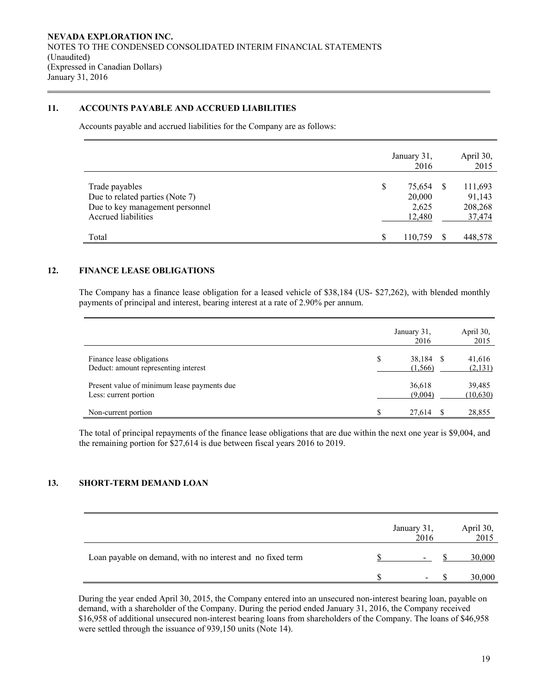# **11. ACCOUNTS PAYABLE AND ACCRUED LIABILITIES**

Accounts payable and accrued liabilities for the Company are as follows:

|                                                                                                             | January 31,<br>2016                       | April 30,<br>2015                      |
|-------------------------------------------------------------------------------------------------------------|-------------------------------------------|----------------------------------------|
| Trade payables<br>Due to related parties (Note 7)<br>Due to key management personnel<br>Accrued liabilities | \$<br>75.654<br>20,000<br>2,625<br>12,480 | 111,693<br>91,143<br>208,268<br>37,474 |
| Total                                                                                                       | S<br>110,759                              | 448,578                                |

# **12. FINANCE LEASE OBLIGATIONS**

The Company has a finance lease obligation for a leased vehicle of \$38,184 (US- \$27,262), with blended monthly payments of principal and interest, bearing interest at a rate of 2.90% per annum.

|                                                                      | January 31,<br>2016      |     | April 30,<br>2015   |
|----------------------------------------------------------------------|--------------------------|-----|---------------------|
| Finance lease obligations<br>Deduct: amount representing interest    | \$<br>38,184<br>(1, 566) | - S | 41,616<br>(2, 131)  |
| Present value of minimum lease payments due<br>Less: current portion | 36,618<br>(9,004)        |     | 39,485<br>(10, 630) |
| Non-current portion                                                  | 27,614                   |     | 28,855              |

The total of principal repayments of the finance lease obligations that are due within the next one year is \$9,004, and the remaining portion for \$27,614 is due between fiscal years 2016 to 2019.

# **13. SHORT-TERM DEMAND LOAN**

|                                                            | January 31,<br>2016      | April 30,<br>2015 |
|------------------------------------------------------------|--------------------------|-------------------|
| Loan payable on demand, with no interest and no fixed term | ۰                        | 30,000            |
|                                                            | $\overline{\phantom{0}}$ | 30,000            |

During the year ended April 30, 2015, the Company entered into an unsecured non-interest bearing loan, payable on demand, with a shareholder of the Company. During the period ended January 31, 2016, the Company received \$16,958 of additional unsecured non-interest bearing loans from shareholders of the Company. The loans of \$46,958 were settled through the issuance of 939,150 units (Note 14).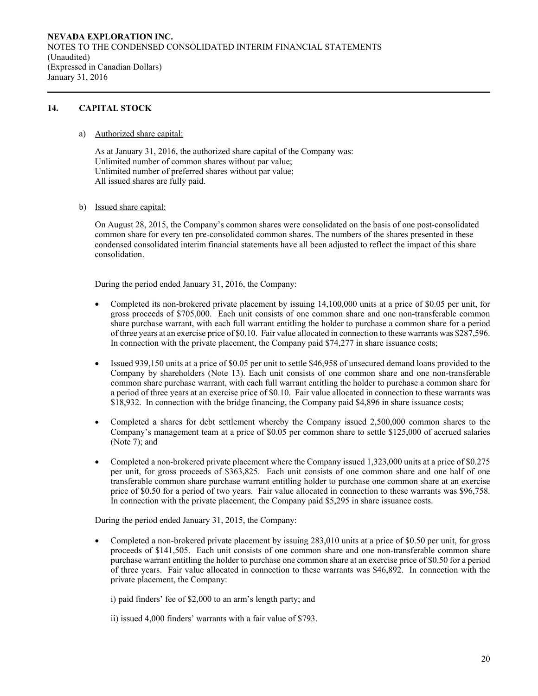# **14. CAPITAL STOCK**

a) Authorized share capital:

As at January 31, 2016, the authorized share capital of the Company was: Unlimited number of common shares without par value; Unlimited number of preferred shares without par value; All issued shares are fully paid.

b) Issued share capital:

On August 28, 2015, the Company's common shares were consolidated on the basis of one post-consolidated common share for every ten pre-consolidated common shares. The numbers of the shares presented in these condensed consolidated interim financial statements have all been adjusted to reflect the impact of this share consolidation.

During the period ended January 31, 2016, the Company:

- Completed its non-brokered private placement by issuing 14,100,000 units at a price of \$0.05 per unit, for gross proceeds of \$705,000. Each unit consists of one common share and one non-transferable common share purchase warrant, with each full warrant entitling the holder to purchase a common share for a period of three years at an exercise price of \$0.10. Fair value allocated in connection to these warrants was \$287,596. In connection with the private placement, the Company paid \$74,277 in share issuance costs;
- Issued 939,150 units at a price of \$0.05 per unit to settle \$46,958 of unsecured demand loans provided to the Company by shareholders (Note 13). Each unit consists of one common share and one non-transferable common share purchase warrant, with each full warrant entitling the holder to purchase a common share for a period of three years at an exercise price of \$0.10. Fair value allocated in connection to these warrants was \$18,932. In connection with the bridge financing, the Company paid \$4,896 in share issuance costs;
- Completed a shares for debt settlement whereby the Company issued 2,500,000 common shares to the Company's management team at a price of \$0.05 per common share to settle \$125,000 of accrued salaries (Note 7); and
- Completed a non-brokered private placement where the Company issued 1,323,000 units at a price of \$0.275 per unit, for gross proceeds of \$363,825. Each unit consists of one common share and one half of one transferable common share purchase warrant entitling holder to purchase one common share at an exercise price of \$0.50 for a period of two years. Fair value allocated in connection to these warrants was \$96,758. In connection with the private placement, the Company paid \$5,295 in share issuance costs.

During the period ended January 31, 2015, the Company:

 Completed a non-brokered private placement by issuing 283,010 units at a price of \$0.50 per unit, for gross proceeds of \$141,505. Each unit consists of one common share and one non-transferable common share purchase warrant entitling the holder to purchase one common share at an exercise price of \$0.50 for a period of three years. Fair value allocated in connection to these warrants was \$46,892. In connection with the private placement, the Company:

i) paid finders' fee of \$2,000 to an arm's length party; and

ii) issued 4,000 finders' warrants with a fair value of \$793.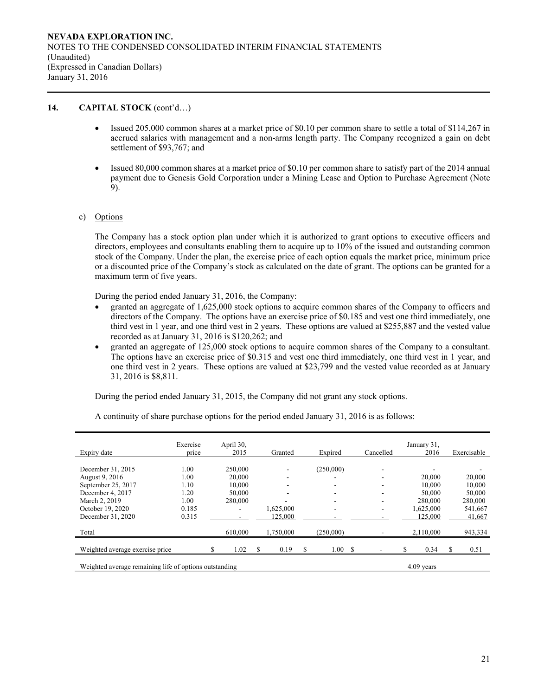# **14. CAPITAL STOCK** (cont'd…)

- Issued 205,000 common shares at a market price of \$0.10 per common share to settle a total of \$114,267 in accrued salaries with management and a non-arms length party. The Company recognized a gain on debt settlement of \$93,767; and
- Issued 80,000 common shares at a market price of \$0.10 per common share to satisfy part of the 2014 annual payment due to Genesis Gold Corporation under a Mining Lease and Option to Purchase Agreement (Note 9).

# c) Options

The Company has a stock option plan under which it is authorized to grant options to executive officers and directors, employees and consultants enabling them to acquire up to 10% of the issued and outstanding common stock of the Company. Under the plan, the exercise price of each option equals the market price, minimum price or a discounted price of the Company's stock as calculated on the date of grant. The options can be granted for a maximum term of five years.

During the period ended January 31, 2016, the Company:

- granted an aggregate of 1,625,000 stock options to acquire common shares of the Company to officers and directors of the Company. The options have an exercise price of \$0.185 and vest one third immediately, one third vest in 1 year, and one third vest in 2 years. These options are valued at \$255,887 and the vested value recorded as at January 31, 2016 is \$120,262; and
- granted an aggregate of 125,000 stock options to acquire common shares of the Company to a consultant. The options have an exercise price of \$0.315 and vest one third immediately, one third vest in 1 year, and one third vest in 2 years. These options are valued at \$23,799 and the vested value recorded as at January 31, 2016 is \$8,811.

During the period ended January 31, 2015, the Company did not grant any stock options.

| Expiry date                                            | Exercise<br>price | April 30,<br>2015 | Granted   |   | Expired   | Cancelled | January 31,<br>2016 | Exercisable |
|--------------------------------------------------------|-------------------|-------------------|-----------|---|-----------|-----------|---------------------|-------------|
|                                                        |                   |                   |           |   |           |           |                     |             |
| December 31, 2015                                      | 1.00              | 250,000           |           |   | (250,000) |           |                     |             |
| August 9, 2016                                         | 1.00              | 20,000            |           |   |           |           | 20,000              | 20,000      |
| September 25, 2017                                     | 1.10              | 10,000            | ۰         |   |           |           | 10.000              | 10.000      |
| December 4, 2017                                       | 1.20              | 50,000            | ۰         |   | ۰         | ۰         | 50,000              | 50,000      |
| March 2, 2019                                          | 1.00              | 280,000           |           |   |           |           | 280,000             | 280,000     |
| October 19, 2020                                       | 0.185             |                   | 1,625,000 |   |           | ۰         | 1,625,000           | 541,667     |
| December 31, 2020                                      | 0.315             |                   | 125,000   |   |           |           | 125,000             | 41,667      |
|                                                        |                   |                   |           |   |           |           |                     |             |
| Total                                                  |                   | 610,000           | 1,750,000 |   | (250,000) |           | 2,110,000           | 943,334     |
|                                                        |                   |                   |           |   |           |           |                     |             |
| Weighted average exercise price                        |                   | 1.02              | 0.19      | S | 1.00S     |           | \$<br>0.34          | 0.51        |
| Weighted average remaining life of options outstanding |                   |                   |           |   |           |           | 4.09 years          |             |
|                                                        |                   |                   |           |   |           |           |                     |             |

A continuity of share purchase options for the period ended January 31, 2016 is as follows: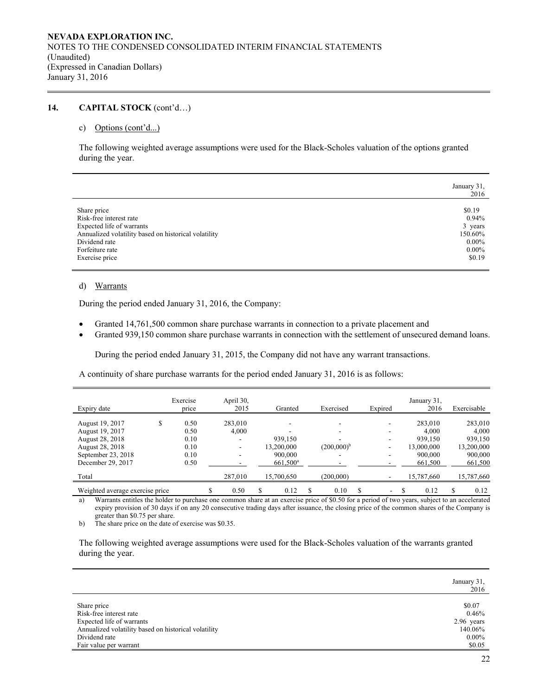# **14. CAPITAL STOCK** (cont'd…)

#### c) Options (cont'd...)

The following weighted average assumptions were used for the Black-Scholes valuation of the options granted during the year.

|                                                      | January 31,<br>2016 |
|------------------------------------------------------|---------------------|
| Share price                                          | \$0.19              |
| Risk-free interest rate                              | $0.94\%$            |
| Expected life of warrants                            | 3 years             |
| Annualized volatility based on historical volatility | 150.60%             |
| Dividend rate                                        | $0.00\%$            |
| Forfeiture rate                                      | $0.00\%$            |
| Exercise price                                       | \$0.19              |

# d) Warrants

During the period ended January 31, 2016, the Company:

- Granted 14,761,500 common share purchase warrants in connection to a private placement and
- Granted 939,150 common share purchase warrants in connection with the settlement of unsecured demand loans.

During the period ended January 31, 2015, the Company did not have any warrant transactions.

A continuity of share purchase warrants for the period ended January 31, 2016 is as follows:

|                                 | Exercise | April 30, |                   |                 |         |   | January 31, |   |             |
|---------------------------------|----------|-----------|-------------------|-----------------|---------|---|-------------|---|-------------|
| Expiry date                     | price    | 2015      | Granted           | Exercised       | Expired |   | 2016        |   | Exercisable |
| August 19, 2017                 | 0.50     | 283,010   |                   |                 | -       |   | 283,010     |   | 283,010     |
| August 19, 2017                 | 0.50     | 4.000     |                   |                 |         |   | 4.000       |   | 4,000       |
| August 28, 2018                 | 0.10     | -         | 939,150           |                 |         |   | 939,150     |   | 939,150     |
| August 28, 2018                 | 0.10     | -         | 13.200.000        | $(200,000)^{b}$ | -       |   | 13,000,000  |   | 13,200,000  |
| September 23, 2018              | 0.10     |           | 900,000           |                 |         |   | 900,000     |   | 900,000     |
| December 29, 2017               | 0.50     |           | $661,500^{\rm a}$ |                 |         |   | 661,500     |   | 661,500     |
| Total                           |          | 287,010   | 15,700,650        | (200.000)       |         |   | 15,787,660  |   | 15,787,660  |
| Weighted average exercise price |          | 0.50      | 0.12              | 0.10            | ٠       | S | 0.12        | S | 0.12        |

a) Warrants entitles the holder to purchase one common share at an exercise price of \$0.50 for a period of two years, subject to an accelerated expiry provision of 30 days if on any 20 consecutive trading days after issuance, the closing price of the common shares of the Company is greater than \$0.75 per share.

b) The share price on the date of exercise was \$0.35.

The following weighted average assumptions were used for the Black-Scholes valuation of the warrants granted during the year.

|                                                      | January 31,<br>2016 |
|------------------------------------------------------|---------------------|
| Share price                                          | \$0.07              |
| Risk-free interest rate                              | 0.46%               |
| Expected life of warrants                            | 2.96 years          |
| Annualized volatility based on historical volatility | 140.06%             |
| Dividend rate                                        | $0.00\%$            |
| Fair value per warrant                               | \$0.05              |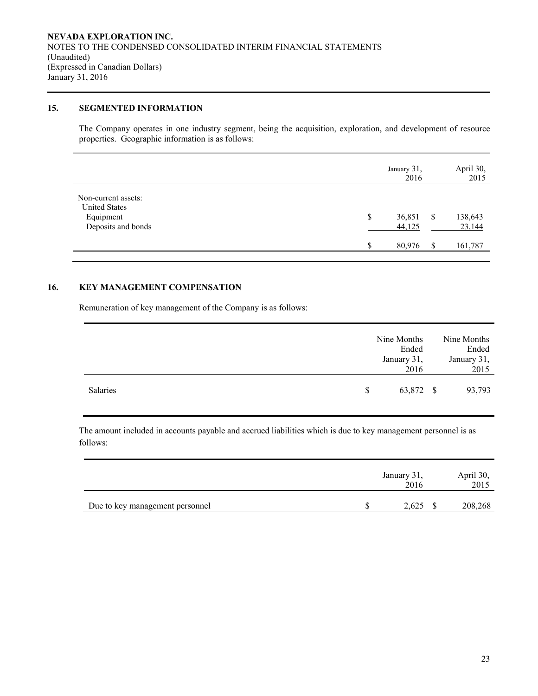# **15. SEGMENTED INFORMATION**

The Company operates in one industry segment, being the acquisition, exploration, and development of resource properties. Geographic information is as follows:

|                                                                                | January 31,<br>2016    |   | April 30,<br>2015 |
|--------------------------------------------------------------------------------|------------------------|---|-------------------|
| Non-current assets:<br><b>United States</b><br>Equipment<br>Deposits and bonds | \$<br>36,851<br>44,125 | S | 138,643<br>23,144 |
|                                                                                | \$<br>80,976           | S | 161,787           |

# **16. KEY MANAGEMENT COMPENSATION**

Remuneration of key management of the Company is as follows:

|          | Nine Months<br>Ended<br>January 31,<br>2016 |           | Nine Months<br>Ended<br>January 31,<br>2015 |
|----------|---------------------------------------------|-----------|---------------------------------------------|
| Salaries | <sup>S</sup>                                | 63,872 \$ | 93,793                                      |

The amount included in accounts payable and accrued liabilities which is due to key management personnel is as follows:

|                                 | January 31,<br>2016 | April 30,<br>2015 |         |
|---------------------------------|---------------------|-------------------|---------|
| Due to key management personnel | 2,625               |                   | 208,268 |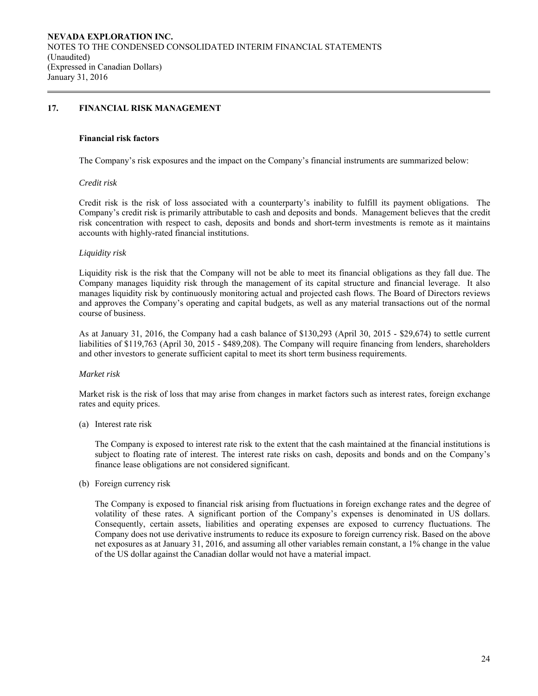# **17. FINANCIAL RISK MANAGEMENT**

#### **Financial risk factors**

The Company's risk exposures and the impact on the Company's financial instruments are summarized below:

### *Credit risk*

 Credit risk is the risk of loss associated with a counterparty's inability to fulfill its payment obligations. The Company's credit risk is primarily attributable to cash and deposits and bonds. Management believes that the credit risk concentration with respect to cash, deposits and bonds and short-term investments is remote as it maintains accounts with highly-rated financial institutions.

### *Liquidity risk*

Liquidity risk is the risk that the Company will not be able to meet its financial obligations as they fall due. The Company manages liquidity risk through the management of its capital structure and financial leverage. It also manages liquidity risk by continuously monitoring actual and projected cash flows. The Board of Directors reviews and approves the Company's operating and capital budgets, as well as any material transactions out of the normal course of business.

As at January 31, 2016, the Company had a cash balance of \$130,293 (April 30, 2015 - \$29,674) to settle current liabilities of \$119,763 (April 30, 2015 - \$489,208). The Company will require financing from lenders, shareholders and other investors to generate sufficient capital to meet its short term business requirements.

### *Market risk*

Market risk is the risk of loss that may arise from changes in market factors such as interest rates, foreign exchange rates and equity prices.

### (a) Interest rate risk

 The Company is exposed to interest rate risk to the extent that the cash maintained at the financial institutions is subject to floating rate of interest. The interest rate risks on cash, deposits and bonds and on the Company's finance lease obligations are not considered significant.

(b) Foreign currency risk

The Company is exposed to financial risk arising from fluctuations in foreign exchange rates and the degree of volatility of these rates. A significant portion of the Company's expenses is denominated in US dollars. Consequently, certain assets, liabilities and operating expenses are exposed to currency fluctuations. The Company does not use derivative instruments to reduce its exposure to foreign currency risk. Based on the above net exposures as at January 31, 2016, and assuming all other variables remain constant, a 1% change in the value of the US dollar against the Canadian dollar would not have a material impact.